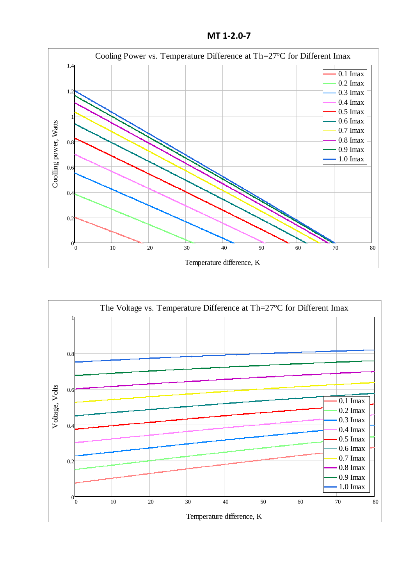**MT 1-2.0-7**





Temperature difference, K